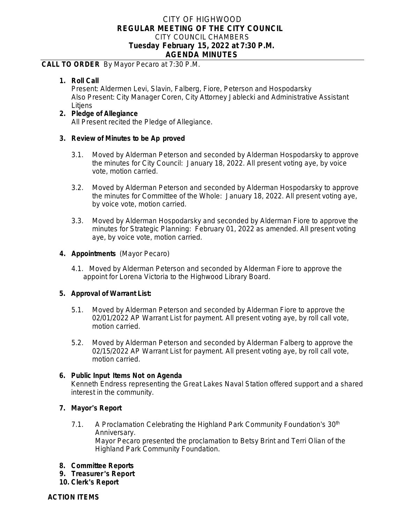# CITY OF HIGHWOOD **REGULAR MEETING OF THE CITY COUNCIL** CITY COUNCIL CHAMBERS **Tuesday February 15, 2022 at 7:30 P.M. AGENDA MINUTES**

### **CALL TO ORDER** By Mayor Pecaro at 7:30 P.M.

**1. Roll Call**

Present: Aldermen Levi, Slavin, Falberg, Fiore, Peterson and Hospodarsky Also Present: City Manager Coren, City Attorney Jablecki and Administrative Assistant Litjens

#### **2. Pledge of Allegiance** All Present recited the Pledge of Allegiance.

### **3. Review of Minutes to be Ap proved**

- 3.1. Moved by Alderman Peterson and seconded by Alderman Hospodarsky to approve the minutes for City Council: January 18, 2022. All present voting aye, by voice vote, motion carried.
- 3.2. Moved by Alderman Peterson and seconded by Alderman Hospodarsky to approve the minutes for Committee of the Whole: January 18, 2022. All present voting aye, by voice vote, motion carried.
- 3.3. Moved by Alderman Hospodarsky and seconded by Alderman Fiore to approve the minutes for Strategic Planning: February 01, 2022 as amended. All present voting aye, by voice vote, motion carried.

### **4. Appointments** (Mayor Pecaro)

4.1. Moved by Alderman Peterson and seconded by Alderman Fiore to approve the appoint for Lorena Victoria to the Highwood Library Board.

### **5. Approval of Warrant List:**

- 5.1. Moved by Alderman Peterson and seconded by Alderman Fiore to approve the 02/01/2022 AP Warrant List for payment. All present voting aye, by roll call vote, motion carried.
- 5.2. Moved by Alderman Peterson and seconded by Alderman Falberg to approve the 02/15/2022 AP Warrant List for payment. All present voting aye, by roll call vote, motion carried.

### **6. Public Input Items Not on Agenda**

Kenneth Endress representing the Great Lakes Naval Station offered support and a shared interest in the community.

## **7. Mayor**'**s Report**

- 7.1. A Proclamation Celebrating the Highland Park Community Foundation's 30<sup>th</sup> Anniversary. Mayor Pecaro presented the proclamation to Betsy Brint and Terri Olian of the Highland Park Community Foundation.
- **8. Committee Reports**
- **9. Treasurer** '**s Report**
- **10. Clerk**'**s Report**